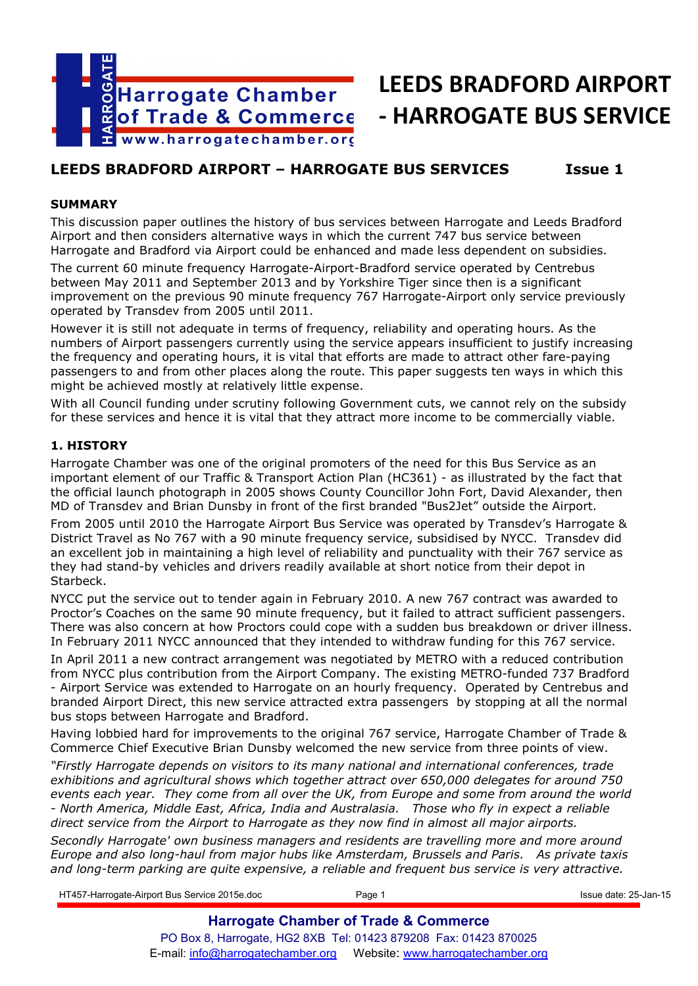

# **LEEDS BRADFORD AIRPORT - HARROGATE BUS SERVICE**

## **LEEDS BRADFORD AIRPORT – HARROGATE BUS SERVICES Issue 1**

## **SUMMARY**

This discussion paper outlines the history of bus services between Harrogate and Leeds Bradford Airport and then considers alternative ways in which the current 747 bus service between Harrogate and Bradford via Airport could be enhanced and made less dependent on subsidies.

The current 60 minute frequency Harrogate-Airport-Bradford service operated by Centrebus between May 2011 and September 2013 and by Yorkshire Tiger since then is a significant improvement on the previous 90 minute frequency 767 Harrogate-Airport only service previously operated by Transdev from 2005 until 2011.

However it is still not adequate in terms of frequency, reliability and operating hours. As the numbers of Airport passengers currently using the service appears insufficient to justify increasing the frequency and operating hours, it is vital that efforts are made to attract other fare-paying passengers to and from other places along the route. This paper suggests ten ways in which this might be achieved mostly at relatively little expense.

With all Council funding under scrutiny following Government cuts, we cannot rely on the subsidy for these services and hence it is vital that they attract more income to be commercially viable.

## **1. HISTORY**

Harrogate Chamber was one of the original promoters of the need for this Bus Service as an important element of our Traffic & Transport Action Plan (HC361) - as illustrated by the fact that the official launch photograph in 2005 shows County Councillor John Fort, David Alexander, then MD of Transdev and Brian Dunsby in front of the first branded "Bus2Jet" outside the Airport.

From 2005 until 2010 the Harrogate Airport Bus Service was operated by Transdev's Harrogate & District Travel as No 767 with a 90 minute frequency service, subsidised by NYCC. Transdev did an excellent job in maintaining a high level of reliability and punctuality with their 767 service as they had stand-by vehicles and drivers readily available at short notice from their depot in Starbeck.

NYCC put the service out to tender again in February 2010. A new 767 contract was awarded to Proctor's Coaches on the same 90 minute frequency, but it failed to attract sufficient passengers. There was also concern at how Proctors could cope with a sudden bus breakdown or driver illness. In February 2011 NYCC announced that they intended to withdraw funding for this 767 service.

In April 2011 a new contract arrangement was negotiated by METRO with a reduced contribution from NYCC plus contribution from the Airport Company. The existing METRO-funded 737 Bradford - Airport Service was extended to Harrogate on an hourly frequency. Operated by Centrebus and branded Airport Direct, this new service attracted extra passengers by stopping at all the normal bus stops between Harrogate and Bradford.

Having lobbied hard for improvements to the original 767 service, Harrogate Chamber of Trade & Commerce Chief Executive Brian Dunsby welcomed the new service from three points of view.

*"Firstly Harrogate depends on visitors to its many national and international conferences, trade exhibitions and agricultural shows which together attract over 650,000 delegates for around 750 events each year. They come from all over the UK, from Europe and some from around the world - North America, Middle East, Africa, India and Australasia. Those who fly in expect a reliable direct service from the Airport to Harrogate as they now find in almost all major airports.* 

*Secondly Harrogate' own business managers and residents are travelling more and more around Europe and also long-haul from major hubs like Amsterdam, Brussels and Paris. As private taxis and long-term parking are quite expensive, a reliable and frequent bus service is very attractive.* 

HT457-Harrogate-Airport Bus Service 2015e.doc **Page 1** Page 1 **Issue date: 25-Jan-15** Issue date: 25-Jan-15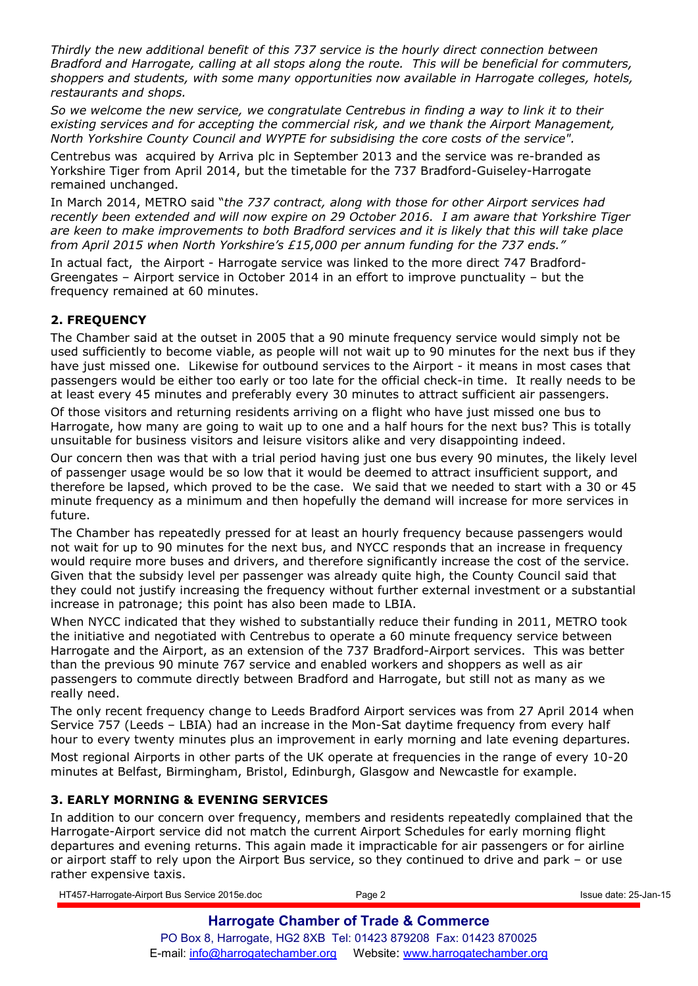*Thirdly the new additional benefit of this 737 service is the hourly direct connection between Bradford and Harrogate, calling at all stops along the route. This will be beneficial for commuters, shoppers and students, with some many opportunities now available in Harrogate colleges, hotels, restaurants and shops.* 

*So we welcome the new service, we congratulate Centrebus in finding a way to link it to their existing services and for accepting the commercial risk, and we thank the Airport Management, North Yorkshire County Council and WYPTE for subsidising the core costs of the service".* 

Centrebus was acquired by Arriva plc in September 2013 and the service was re-branded as Yorkshire Tiger from April 2014, but the timetable for the 737 Bradford-Guiseley-Harrogate remained unchanged.

In March 2014, METRO said "*the 737 contract, along with those for other Airport services had recently been extended and will now expire on 29 October 2016. I am aware that Yorkshire Tiger are keen to make improvements to both Bradford services and it is likely that this will take place from April 2015 when North Yorkshire's £15,000 per annum funding for the 737 ends."*

In actual fact, the Airport - Harrogate service was linked to the more direct 747 Bradford-Greengates – Airport service in October 2014 in an effort to improve punctuality – but the frequency remained at 60 minutes.

## **2. FREQUENCY**

The Chamber said at the outset in 2005 that a 90 minute frequency service would simply not be used sufficiently to become viable, as people will not wait up to 90 minutes for the next bus if they have just missed one. Likewise for outbound services to the Airport - it means in most cases that passengers would be either too early or too late for the official check-in time. It really needs to be at least every 45 minutes and preferably every 30 minutes to attract sufficient air passengers.

Of those visitors and returning residents arriving on a flight who have just missed one bus to Harrogate, how many are going to wait up to one and a half hours for the next bus? This is totally unsuitable for business visitors and leisure visitors alike and very disappointing indeed.

Our concern then was that with a trial period having just one bus every 90 minutes, the likely level of passenger usage would be so low that it would be deemed to attract insufficient support, and therefore be lapsed, which proved to be the case. We said that we needed to start with a 30 or 45 minute frequency as a minimum and then hopefully the demand will increase for more services in future.

The Chamber has repeatedly pressed for at least an hourly frequency because passengers would not wait for up to 90 minutes for the next bus, and NYCC responds that an increase in frequency would require more buses and drivers, and therefore significantly increase the cost of the service. Given that the subsidy level per passenger was already quite high, the County Council said that they could not justify increasing the frequency without further external investment or a substantial increase in patronage; this point has also been made to LBIA.

When NYCC indicated that they wished to substantially reduce their funding in 2011, METRO took the initiative and negotiated with Centrebus to operate a 60 minute frequency service between Harrogate and the Airport, as an extension of the 737 Bradford-Airport services. This was better than the previous 90 minute 767 service and enabled workers and shoppers as well as air passengers to commute directly between Bradford and Harrogate, but still not as many as we really need.

The only recent frequency change to Leeds Bradford Airport services was from 27 April 2014 when Service 757 (Leeds – LBIA) had an increase in the Mon-Sat daytime frequency from every half hour to every twenty minutes plus an improvement in early morning and late evening departures.

Most regional Airports in other parts of the UK operate at frequencies in the range of every 10-20 minutes at Belfast, Birmingham, Bristol, Edinburgh, Glasgow and Newcastle for example.

## **3. EARLY MORNING & EVENING SERVICES**

In addition to our concern over frequency, members and residents repeatedly complained that the Harrogate-Airport service did not match the current Airport Schedules for early morning flight departures and evening returns. This again made it impracticable for air passengers or for airline or airport staff to rely upon the Airport Bus service, so they continued to drive and park – or use rather expensive taxis.

HT457-Harrogate-Airport Bus Service 2015e.doc **Page 2** Page 2 **Issue date: 25-Jan-15** Issue date: 25-Jan-15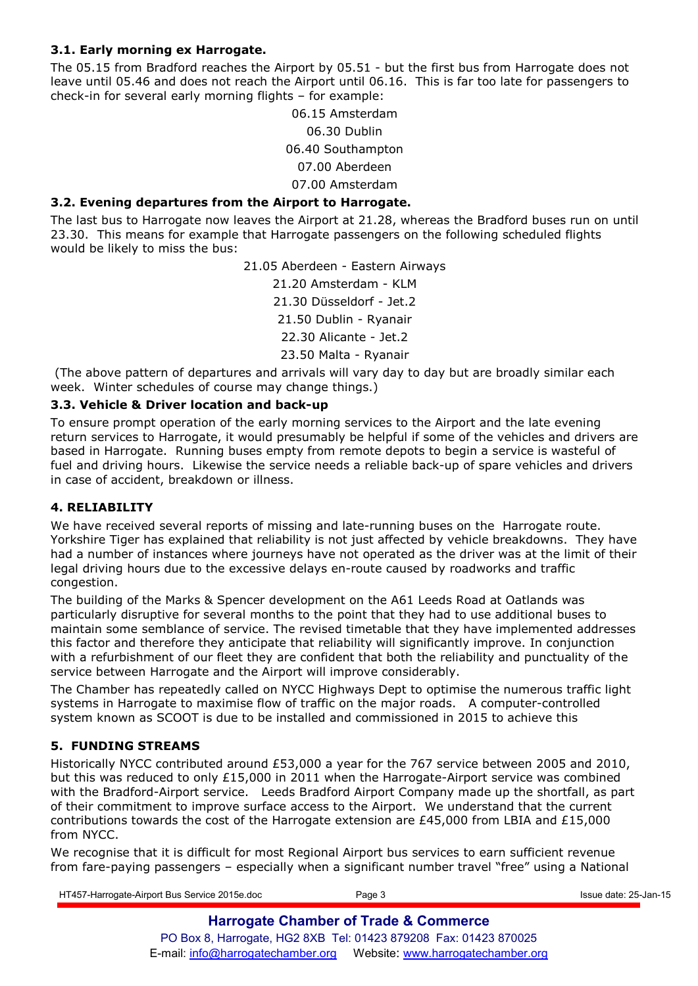## **3.1. Early morning ex Harrogate.**

The 05.15 from Bradford reaches the Airport by 05.51 - but the first bus from Harrogate does not leave until 05.46 and does not reach the Airport until 06.16. This is far too late for passengers to check-in for several early morning flights – for example:

> 06.15 Amsterdam 06.30 Dublin 06.40 Southampton 07.00 Aberdeen 07.00 Amsterdam

## **3.2. Evening departures from the Airport to Harrogate.**

The last bus to Harrogate now leaves the Airport at 21.28, whereas the Bradford buses run on until 23.30. This means for example that Harrogate passengers on the following scheduled flights would be likely to miss the bus:

> 21.05 Aberdeen - Eastern Airways 21.20 Amsterdam - KLM 21.30 Düsseldorf - Jet.2 21.50 Dublin - Ryanair 22.30 Alicante - Jet.2 23.50 Malta - Ryanair

 (The above pattern of departures and arrivals will vary day to day but are broadly similar each week. Winter schedules of course may change things.)

## **3.3. Vehicle & Driver location and back-up**

To ensure prompt operation of the early morning services to the Airport and the late evening return services to Harrogate, it would presumably be helpful if some of the vehicles and drivers are based in Harrogate. Running buses empty from remote depots to begin a service is wasteful of fuel and driving hours. Likewise the service needs a reliable back-up of spare vehicles and drivers in case of accident, breakdown or illness.

## **4. RELIABILITY**

We have received several reports of missing and late-running buses on the Harrogate route. Yorkshire Tiger has explained that reliability is not just affected by vehicle breakdowns. They have had a number of instances where journeys have not operated as the driver was at the limit of their legal driving hours due to the excessive delays en-route caused by roadworks and traffic congestion.

The building of the Marks & Spencer development on the A61 Leeds Road at Oatlands was particularly disruptive for several months to the point that they had to use additional buses to maintain some semblance of service. The revised timetable that they have implemented addresses this factor and therefore they anticipate that reliability will significantly improve. In conjunction with a refurbishment of our fleet they are confident that both the reliability and punctuality of the service between Harrogate and the Airport will improve considerably.

The Chamber has repeatedly called on NYCC Highways Dept to optimise the numerous traffic light systems in Harrogate to maximise flow of traffic on the major roads. A computer-controlled system known as SCOOT is due to be installed and commissioned in 2015 to achieve this

## **5. FUNDING STREAMS**

Historically NYCC contributed around £53,000 a year for the 767 service between 2005 and 2010, but this was reduced to only £15,000 in 2011 when the Harrogate-Airport service was combined with the Bradford-Airport service. Leeds Bradford Airport Company made up the shortfall, as part of their commitment to improve surface access to the Airport. We understand that the current contributions towards the cost of the Harrogate extension are  $£45,000$  from LBIA and  $£15,000$ from NYCC.

We recognise that it is difficult for most Regional Airport bus services to earn sufficient revenue from fare-paying passengers – especially when a significant number travel "free" using a National

HT457-Harrogate-Airport Bus Service 2015e.doc Page 3 Issue date: 25-Jan-15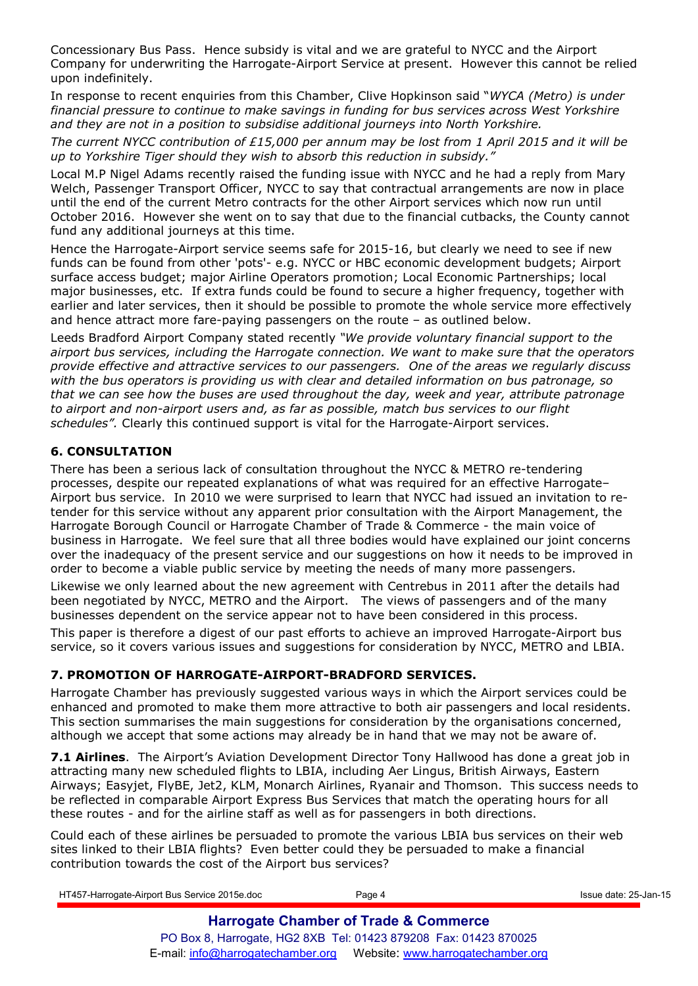Concessionary Bus Pass. Hence subsidy is vital and we are grateful to NYCC and the Airport Company for underwriting the Harrogate-Airport Service at present. However this cannot be relied upon indefinitely.

In response to recent enquiries from this Chamber, Clive Hopkinson said "*WYCA (Metro) is under financial pressure to continue to make savings in funding for bus services across West Yorkshire and they are not in a position to subsidise additional journeys into North Yorkshire.* 

*The current NYCC contribution of £15,000 per annum may be lost from 1 April 2015 and it will be up to Yorkshire Tiger should they wish to absorb this reduction in subsidy."* 

Local M.P Nigel Adams recently raised the funding issue with NYCC and he had a reply from Mary Welch, Passenger Transport Officer, NYCC to say that contractual arrangements are now in place until the end of the current Metro contracts for the other Airport services which now run until October 2016. However she went on to say that due to the financial cutbacks, the County cannot fund any additional journeys at this time.

Hence the Harrogate-Airport service seems safe for 2015-16, but clearly we need to see if new funds can be found from other 'pots'- e.g. NYCC or HBC economic development budgets; Airport surface access budget; major Airline Operators promotion; Local Economic Partnerships; local major businesses, etc. If extra funds could be found to secure a higher frequency, together with earlier and later services, then it should be possible to promote the whole service more effectively and hence attract more fare-paying passengers on the route – as outlined below.

Leeds Bradford Airport Company stated recently *"We provide voluntary financial support to the airport bus services, including the Harrogate connection. We want to make sure that the operators provide effective and attractive services to our passengers. One of the areas we regularly discuss with the bus operators is providing us with clear and detailed information on bus patronage, so that we can see how the buses are used throughout the day, week and year, attribute patronage to airport and non-airport users and, as far as possible, match bus services to our flight schedules".* Clearly this continued support is vital for the Harrogate-Airport services.

## **6. CONSULTATION**

There has been a serious lack of consultation throughout the NYCC & METRO re-tendering processes, despite our repeated explanations of what was required for an effective Harrogate– Airport bus service. In 2010 we were surprised to learn that NYCC had issued an invitation to retender for this service without any apparent prior consultation with the Airport Management, the Harrogate Borough Council or Harrogate Chamber of Trade & Commerce - the main voice of business in Harrogate. We feel sure that all three bodies would have explained our joint concerns over the inadequacy of the present service and our suggestions on how it needs to be improved in order to become a viable public service by meeting the needs of many more passengers.

Likewise we only learned about the new agreement with Centrebus in 2011 after the details had been negotiated by NYCC, METRO and the Airport. The views of passengers and of the many businesses dependent on the service appear not to have been considered in this process.

This paper is therefore a digest of our past efforts to achieve an improved Harrogate-Airport bus service, so it covers various issues and suggestions for consideration by NYCC, METRO and LBIA.

## **7. PROMOTION OF HARROGATE-AIRPORT-BRADFORD SERVICES.**

Harrogate Chamber has previously suggested various ways in which the Airport services could be enhanced and promoted to make them more attractive to both air passengers and local residents. This section summarises the main suggestions for consideration by the organisations concerned, although we accept that some actions may already be in hand that we may not be aware of.

**7.1 Airlines**. The Airport's Aviation Development Director Tony Hallwood has done a great job in attracting many new scheduled flights to LBIA, including Aer Lingus, British Airways, Eastern Airways; Easyjet, FlyBE, Jet2, KLM, Monarch Airlines, Ryanair and Thomson. This success needs to be reflected in comparable Airport Express Bus Services that match the operating hours for all these routes - and for the airline staff as well as for passengers in both directions.

Could each of these airlines be persuaded to promote the various LBIA bus services on their web sites linked to their LBIA flights? Even better could they be persuaded to make a financial contribution towards the cost of the Airport bus services?

| HT457-Harrogate-Airport Bus Service 2015e.doc | Page 4                                                           | Issue date: 25-Jan-15 |
|-----------------------------------------------|------------------------------------------------------------------|-----------------------|
|                                               | <b>Harrogate Chamber of Trade &amp; Commerce</b>                 |                       |
|                                               | PO Box 8, Harrogate, HG2 8XB Tel: 01423 879208 Fax: 01423 870025 |                       |
|                                               |                                                                  |                       |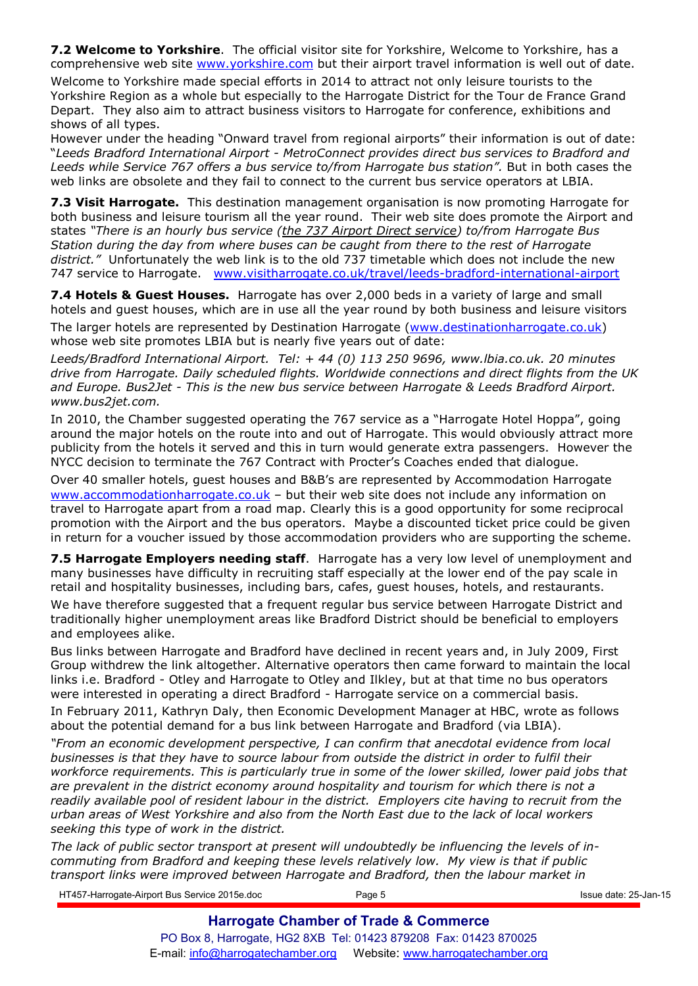**7.2 Welcome to Yorkshire**. The official visitor site for Yorkshire, Welcome to Yorkshire, has a comprehensive web site www.yorkshire.com but their airport travel information is well out of date.

Welcome to Yorkshire made special efforts in 2014 to attract not only leisure tourists to the Yorkshire Region as a whole but especially to the Harrogate District for the Tour de France Grand Depart. They also aim to attract business visitors to Harrogate for conference, exhibitions and shows of all types.

However under the heading "Onward travel from regional airports" their information is out of date: "*Leeds Bradford International Airport - MetroConnect provides direct bus services to Bradford and*  Leeds while Service 767 offers a bus service to/from Harrogate bus station". But in both cases the web links are obsolete and they fail to connect to the current bus service operators at LBIA.

**7.3 Visit Harrogate.** This destination management organisation is now promoting Harrogate for both business and leisure tourism all the year round. Their web site does promote the Airport and states *"There is an hourly bus service (the 737 Airport Direct service) to/from Harrogate Bus Station during the day from where buses can be caught from there to the rest of Harrogate district."* Unfortunately the web link is to the old 737 timetable which does not include the new 747 service to Harrogate. www.visitharrogate.co.uk/travel/leeds-bradford-international-airport

**7.4 Hotels & Guest Houses.** Harrogate has over 2,000 beds in a variety of large and small hotels and guest houses, which are in use all the year round by both business and leisure visitors

The larger hotels are represented by Destination Harrogate (www.destinationharrogate.co.uk) whose web site promotes LBIA but is nearly five years out of date:

*Leeds/Bradford International Airport. Tel: + 44 (0) 113 250 9696, www.lbia.co.uk. 20 minutes drive from Harrogate. Daily scheduled flights. Worldwide connections and direct flights from the UK and Europe. Bus2Jet - This is the new bus service between Harrogate & Leeds Bradford Airport. www.bus2jet.com.* 

In 2010, the Chamber suggested operating the 767 service as a "Harrogate Hotel Hoppa", going around the major hotels on the route into and out of Harrogate. This would obviously attract more publicity from the hotels it served and this in turn would generate extra passengers. However the NYCC decision to terminate the 767 Contract with Procter's Coaches ended that dialogue.

Over 40 smaller hotels, guest houses and B&B's are represented by Accommodation Harrogate www.accommodationharrogate.co.uk - but their web site does not include any information on travel to Harrogate apart from a road map. Clearly this is a good opportunity for some reciprocal promotion with the Airport and the bus operators. Maybe a discounted ticket price could be given in return for a voucher issued by those accommodation providers who are supporting the scheme.

**7.5 Harrogate Employers needing staff**. Harrogate has a very low level of unemployment and many businesses have difficulty in recruiting staff especially at the lower end of the pay scale in retail and hospitality businesses, including bars, cafes, guest houses, hotels, and restaurants.

We have therefore suggested that a frequent regular bus service between Harrogate District and traditionally higher unemployment areas like Bradford District should be beneficial to employers and employees alike.

Bus links between Harrogate and Bradford have declined in recent years and, in July 2009, First Group withdrew the link altogether. Alternative operators then came forward to maintain the local links i.e. Bradford - Otley and Harrogate to Otley and Ilkley, but at that time no bus operators were interested in operating a direct Bradford - Harrogate service on a commercial basis.

In February 2011, Kathryn Daly, then Economic Development Manager at HBC, wrote as follows about the potential demand for a bus link between Harrogate and Bradford (via LBIA).

*"From an economic development perspective, I can confirm that anecdotal evidence from local businesses is that they have to source labour from outside the district in order to fulfil their workforce requirements. This is particularly true in some of the lower skilled, lower paid jobs that are prevalent in the district economy around hospitality and tourism for which there is not a readily available pool of resident labour in the district. Employers cite having to recruit from the urban areas of West Yorkshire and also from the North East due to the lack of local workers seeking this type of work in the district.* 

*The lack of public sector transport at present will undoubtedly be influencing the levels of incommuting from Bradford and keeping these levels relatively low. My view is that if public transport links were improved between Harrogate and Bradford, then the labour market in* 

HT457-Harrogate-Airport Bus Service 2015e.doc Page 5 Issue date: 25-Jan-15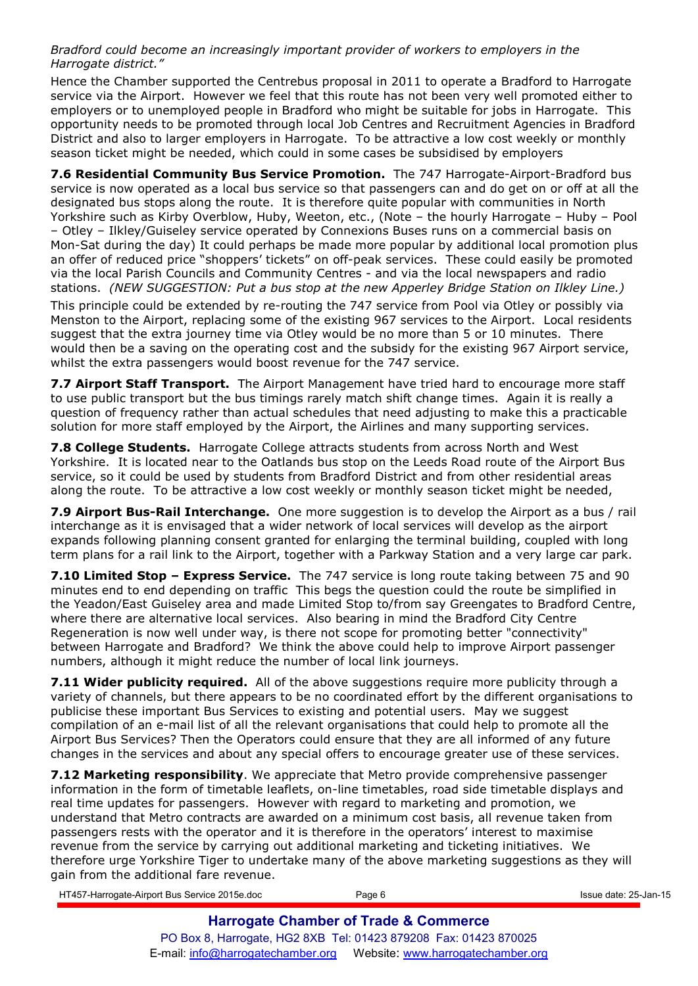*Bradford could become an increasingly important provider of workers to employers in the Harrogate district."* 

Hence the Chamber supported the Centrebus proposal in 2011 to operate a Bradford to Harrogate service via the Airport. However we feel that this route has not been very well promoted either to employers or to unemployed people in Bradford who might be suitable for jobs in Harrogate. This opportunity needs to be promoted through local Job Centres and Recruitment Agencies in Bradford District and also to larger employers in Harrogate. To be attractive a low cost weekly or monthly season ticket might be needed, which could in some cases be subsidised by employers

**7.6 Residential Community Bus Service Promotion.** The 747 Harrogate-Airport-Bradford bus service is now operated as a local bus service so that passengers can and do get on or off at all the designated bus stops along the route. It is therefore quite popular with communities in North Yorkshire such as Kirby Overblow, Huby, Weeton, etc., (Note – the hourly Harrogate – Huby – Pool – Otley – Ilkley/Guiseley service operated by Connexions Buses runs on a commercial basis on Mon-Sat during the day) It could perhaps be made more popular by additional local promotion plus an offer of reduced price "shoppers' tickets" on off-peak services. These could easily be promoted via the local Parish Councils and Community Centres - and via the local newspapers and radio stations. *(NEW SUGGESTION: Put a bus stop at the new Apperley Bridge Station on Ilkley Line.)* This principle could be extended by re-routing the 747 service from Pool via Otley or possibly via Menston to the Airport, replacing some of the existing 967 services to the Airport. Local residents suggest that the extra journey time via Otley would be no more than 5 or 10 minutes. There would then be a saving on the operating cost and the subsidy for the existing 967 Airport service,

whilst the extra passengers would boost revenue for the 747 service.

**7.7 Airport Staff Transport.** The Airport Management have tried hard to encourage more staff to use public transport but the bus timings rarely match shift change times. Again it is really a question of frequency rather than actual schedules that need adjusting to make this a practicable solution for more staff employed by the Airport, the Airlines and many supporting services.

**7.8 College Students.** Harrogate College attracts students from across North and West Yorkshire. It is located near to the Oatlands bus stop on the Leeds Road route of the Airport Bus service, so it could be used by students from Bradford District and from other residential areas along the route. To be attractive a low cost weekly or monthly season ticket might be needed,

**7.9 Airport Bus-Rail Interchange.** One more suggestion is to develop the Airport as a bus / rail interchange as it is envisaged that a wider network of local services will develop as the airport expands following planning consent granted for enlarging the terminal building, coupled with long term plans for a rail link to the Airport, together with a Parkway Station and a very large car park.

**7.10 Limited Stop – Express Service.** The 747 service is long route taking between 75 and 90 minutes end to end depending on traffic This begs the question could the route be simplified in the Yeadon/East Guiseley area and made Limited Stop to/from say Greengates to Bradford Centre, where there are alternative local services. Also bearing in mind the Bradford City Centre Regeneration is now well under way, is there not scope for promoting better "connectivity" between Harrogate and Bradford? We think the above could help to improve Airport passenger numbers, although it might reduce the number of local link journeys.

**7.11 Wider publicity required.** All of the above suggestions require more publicity through a variety of channels, but there appears to be no coordinated effort by the different organisations to publicise these important Bus Services to existing and potential users. May we suggest compilation of an e-mail list of all the relevant organisations that could help to promote all the Airport Bus Services? Then the Operators could ensure that they are all informed of any future changes in the services and about any special offers to encourage greater use of these services.

**7.12 Marketing responsibility**. We appreciate that Metro provide comprehensive passenger information in the form of timetable leaflets, on-line timetables, road side timetable displays and real time updates for passengers. However with regard to marketing and promotion, we understand that Metro contracts are awarded on a minimum cost basis, all revenue taken from passengers rests with the operator and it is therefore in the operators' interest to maximise revenue from the service by carrying out additional marketing and ticketing initiatives. We therefore urge Yorkshire Tiger to undertake many of the above marketing suggestions as they will gain from the additional fare revenue.

HT457-Harrogate-Airport Bus Service 2015e.doc **Page 6** Page 6 **Issue date: 25-Jan-15** Issue date: 25-Jan-15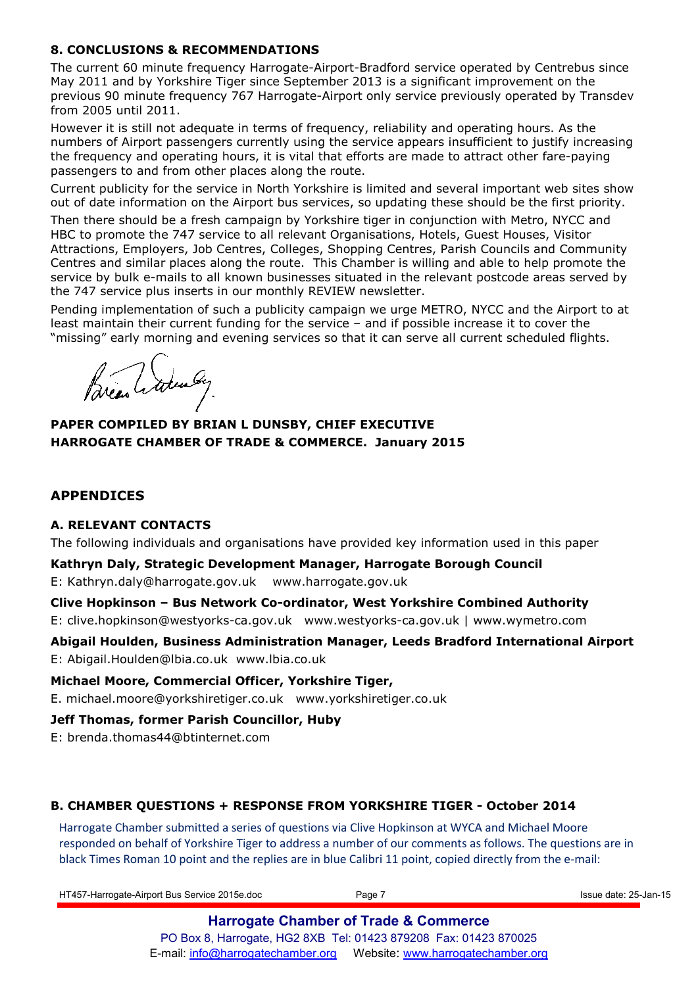## **8. CONCLUSIONS & RECOMMENDATIONS**

The current 60 minute frequency Harrogate-Airport-Bradford service operated by Centrebus since May 2011 and by Yorkshire Tiger since September 2013 is a significant improvement on the previous 90 minute frequency 767 Harrogate-Airport only service previously operated by Transdev from 2005 until 2011.

However it is still not adequate in terms of frequency, reliability and operating hours. As the numbers of Airport passengers currently using the service appears insufficient to justify increasing the frequency and operating hours, it is vital that efforts are made to attract other fare-paying passengers to and from other places along the route.

Current publicity for the service in North Yorkshire is limited and several important web sites show out of date information on the Airport bus services, so updating these should be the first priority.

Then there should be a fresh campaign by Yorkshire tiger in conjunction with Metro, NYCC and HBC to promote the 747 service to all relevant Organisations, Hotels, Guest Houses, Visitor Attractions, Employers, Job Centres, Colleges, Shopping Centres, Parish Councils and Community Centres and similar places along the route. This Chamber is willing and able to help promote the service by bulk e-mails to all known businesses situated in the relevant postcode areas served by the 747 service plus inserts in our monthly REVIEW newsletter.

Pending implementation of such a publicity campaign we urge METRO, NYCC and the Airport to at least maintain their current funding for the service – and if possible increase it to cover the "missing" early morning and evening services so that it can serve all current scheduled flights.

Bread Adender

## **PAPER COMPILED BY BRIAN L DUNSBY, CHIEF EXECUTIVE HARROGATE CHAMBER OF TRADE & COMMERCE. January 2015**

## **APPENDICES**

## **A. RELEVANT CONTACTS**

The following individuals and organisations have provided key information used in this paper

**Kathryn Daly, Strategic Development Manager, Harrogate Borough Council**  E: Kathryn.daly@harrogate.gov.uk www.harrogate.gov.uk

**Clive Hopkinson – Bus Network Co-ordinator, West Yorkshire Combined Authority**  E: clive.hopkinson@westyorks-ca.gov.uk www.westyorks-ca.gov.uk | www.wymetro.com

**Abigail Houlden, Business Administration Manager, Leeds Bradford International Airport**  E: Abigail.Houlden@lbia.co.uk www.lbia.co.uk

## **Michael Moore, Commercial Officer, Yorkshire Tiger,**

E. michael.moore@yorkshiretiger.co.uk www.yorkshiretiger.co.uk

## **Jeff Thomas, former Parish Councillor, Huby**

E: brenda.thomas44@btinternet.com

## **B. CHAMBER QUESTIONS + RESPONSE FROM YORKSHIRE TIGER - October 2014**

Harrogate Chamber submitted a series of questions via Clive Hopkinson at WYCA and Michael Moore responded on behalf of Yorkshire Tiger to address a number of our comments as follows. The questions are in black Times Roman 10 point and the replies are in blue Calibri 11 point, copied directly from the e-mail:

HT457-Harrogate-Airport Bus Service 2015e.doc **Page 7** Page 7 **Issue date: 25-Jan-15** Issue date: 25-Jan-15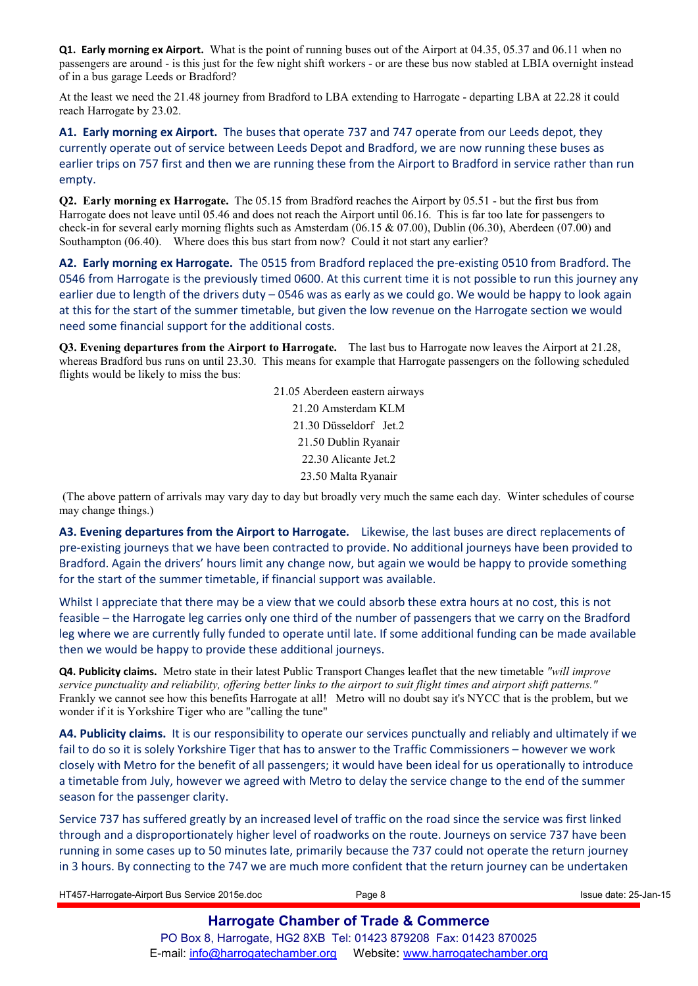**Q1. Early morning ex Airport.** What is the point of running buses out of the Airport at 04.35, 05.37 and 06.11 when no passengers are around - is this just for the few night shift workers - or are these bus now stabled at LBIA overnight instead of in a bus garage Leeds or Bradford?

At the least we need the 21.48 journey from Bradford to LBA extending to Harrogate - departing LBA at 22.28 it could reach Harrogate by 23.02.

**A1. Early morning ex Airport.** The buses that operate 737 and 747 operate from our Leeds depot, they currently operate out of service between Leeds Depot and Bradford, we are now running these buses as earlier trips on 757 first and then we are running these from the Airport to Bradford in service rather than run empty.

**Q2. Early morning ex Harrogate.** The 05.15 from Bradford reaches the Airport by 05.51 - but the first bus from Harrogate does not leave until 05.46 and does not reach the Airport until 06.16. This is far too late for passengers to check-in for several early morning flights such as Amsterdam (06.15 & 07.00), Dublin (06.30), Aberdeen (07.00) and Southampton (06.40). Where does this bus start from now? Could it not start any earlier?

**A2. Early morning ex Harrogate.** The 0515 from Bradford replaced the pre-existing 0510 from Bradford. The 0546 from Harrogate is the previously timed 0600. At this current time it is not possible to run this journey any earlier due to length of the drivers duty – 0546 was as early as we could go. We would be happy to look again at this for the start of the summer timetable, but given the low revenue on the Harrogate section we would need some financial support for the additional costs.

**Q3. Evening departures from the Airport to Harrogate.** The last bus to Harrogate now leaves the Airport at 21.28, whereas Bradford bus runs on until 23.30. This means for example that Harrogate passengers on the following scheduled flights would be likely to miss the bus:

> 21.05 Aberdeen eastern airways 21.20 Amsterdam KLM 21.30 Düsseldorf Jet.2 21.50 Dublin Ryanair 22.30 Alicante Jet.2 23.50 Malta Ryanair

(The above pattern of arrivals may vary day to day but broadly very much the same each day. Winter schedules of course may change things.)

**A3. Evening departures from the Airport to Harrogate.** Likewise, the last buses are direct replacements of pre-existing journeys that we have been contracted to provide. No additional journeys have been provided to Bradford. Again the drivers' hours limit any change now, but again we would be happy to provide something for the start of the summer timetable, if financial support was available.

Whilst I appreciate that there may be a view that we could absorb these extra hours at no cost, this is not feasible – the Harrogate leg carries only one third of the number of passengers that we carry on the Bradford leg where we are currently fully funded to operate until late. If some additional funding can be made available then we would be happy to provide these additional journeys.

**Q4. Publicity claims.** Metro state in their latest Public Transport Changes leaflet that the new timetable *"will improve service punctuality and reliability, offering better links to the airport to suit flight times and airport shift patterns."*  Frankly we cannot see how this benefits Harrogate at all! Metro will no doubt say it's NYCC that is the problem, but we wonder if it is Yorkshire Tiger who are "calling the tune"

**A4. Publicity claims.** It is our responsibility to operate our services punctually and reliably and ultimately if we fail to do so it is solely Yorkshire Tiger that has to answer to the Traffic Commissioners – however we work closely with Metro for the benefit of all passengers; it would have been ideal for us operationally to introduce a timetable from July, however we agreed with Metro to delay the service change to the end of the summer season for the passenger clarity.

Service 737 has suffered greatly by an increased level of traffic on the road since the service was first linked through and a disproportionately higher level of roadworks on the route. Journeys on service 737 have been running in some cases up to 50 minutes late, primarily because the 737 could not operate the return journey in 3 hours. By connecting to the 747 we are much more confident that the return journey can be undertaken

HT457-Harrogate-Airport Bus Service 2015e.doc **Page 8** Page 8 Issue date: 25-Jan-15 **Harrogate Chamber of Trade & Commerce**